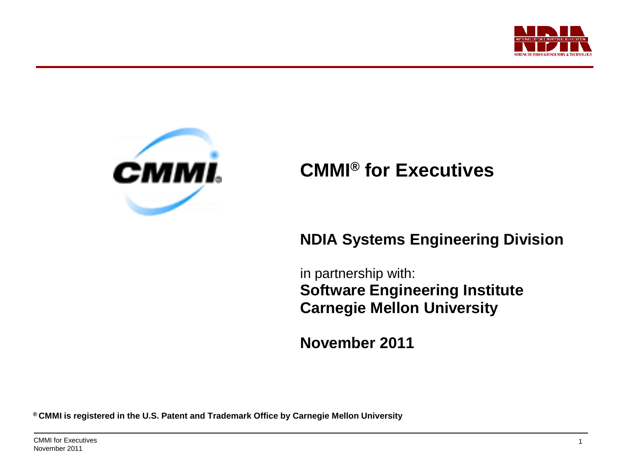



## **CMMI® for Executives**

### **NDIA Systems Engineering Division**

**CMMI Executive Briefing**

in partnership with: **Software Engineering Institute Carnegie Mellon University**

**November 2011**

**® CMMI is registered in the U.S. Patent and Trademark Office by Carnegie Mellon University**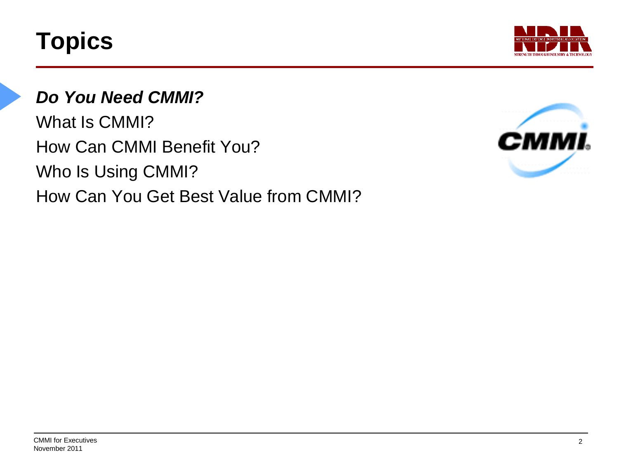

## *Do You Need CMMI?*

What Is CMMI? How Can CMMI Benefit You? Who Is Using CMMI? How Can You Get Best Value from CMMI?

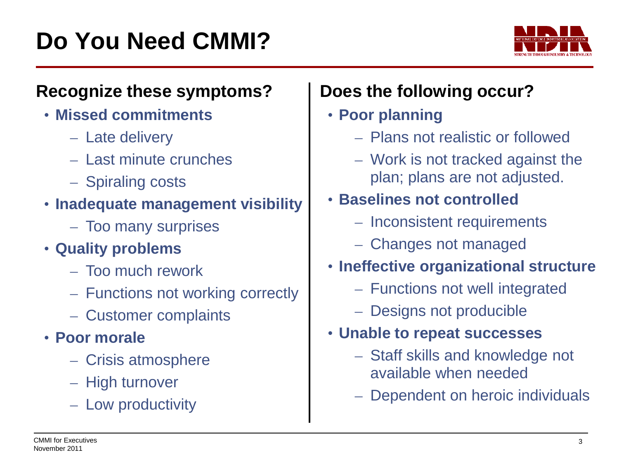

### **Recognize these symptoms?**

- **Missed commitments**
	- Late delivery
	- Last minute crunches
	- Spiraling costs

### • **Inadequate management visibility**

- Too many surprises
- **Quality problems**
	- Too much rework
	- Functions not working correctly
	- Customer complaints
- **Poor morale**
	- Crisis atmosphere
	- High turnover
	- Low productivity

# **Does the following occur?**

### • **Poor planning**

- Plans not realistic or followed
- Work is not tracked against the plan; plans are not adjusted.

### • **Baselines not controlled**

- Inconsistent requirements
- Changes not managed
- **Ineffective organizational structure**
	- Functions not well integrated
	- Designs not producible

### • **Unable to repeat successes**

– Staff skills and knowledge not available when needed

**CMMI Executive Briefing**

– Dependent on heroic individuals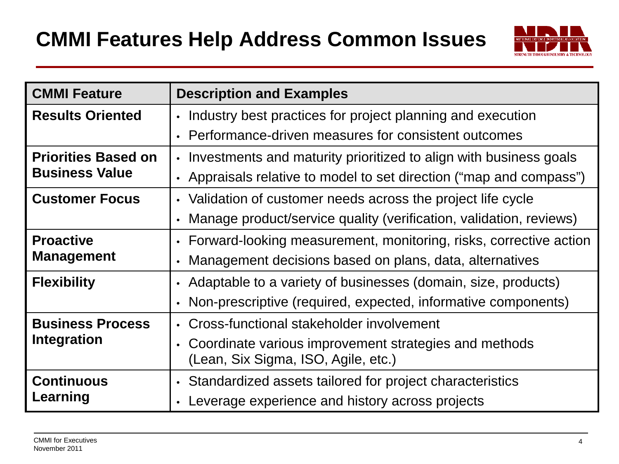

| <b>CMMI Feature</b>                                 | <b>Description and Examples</b>                                     |  |  |  |  |  |
|-----------------------------------------------------|---------------------------------------------------------------------|--|--|--|--|--|
| <b>Results Oriented</b>                             | • Industry best practices for project planning and execution        |  |  |  |  |  |
|                                                     | • Performance-driven measures for consistent outcomes               |  |  |  |  |  |
| <b>Priorities Based on</b><br><b>Business Value</b> | • Investments and maturity prioritized to align with business goals |  |  |  |  |  |
|                                                     | • Appraisals relative to model to set direction ("map and compass") |  |  |  |  |  |
| <b>Customer Focus</b>                               | • Validation of customer needs across the project life cycle        |  |  |  |  |  |
|                                                     | Manage product/service quality (verification, validation, reviews)  |  |  |  |  |  |
| <b>Proactive</b>                                    | • Forward-looking measurement, monitoring, risks, corrective action |  |  |  |  |  |
| <b>Management</b>                                   | • Management decisions based on plans, data, alternatives           |  |  |  |  |  |
| <b>Flexibility</b>                                  | • Adaptable to a variety of businesses (domain, size, products)     |  |  |  |  |  |
|                                                     | • Non-prescriptive (required, expected, informative components)     |  |  |  |  |  |
| <b>Business Process</b>                             | • Cross-functional stakeholder involvement                          |  |  |  |  |  |
| Integration                                         | • Coordinate various improvement strategies and methods             |  |  |  |  |  |
|                                                     | (Lean, Six Sigma, ISO, Agile, etc.)                                 |  |  |  |  |  |
| <b>Continuous</b>                                   | • Standardized assets tailored for project characteristics          |  |  |  |  |  |
| Learning                                            | Leverage experience and history across projects                     |  |  |  |  |  |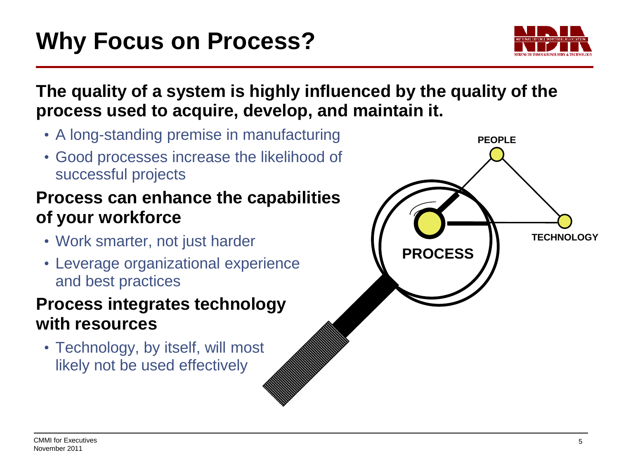

### **The quality of a system is highly influenced by the quality of the process used to acquire, develop, and maintain it.**

- A long-standing premise in manufacturing
- Good processes increase the likelihood of successful projects

### **Process can enhance the capabilities of your workforce**

- Work smarter, not just harder
- Leverage organizational experience and best practices

### **Process integrates technology with resources**

• Technology, by itself, will most likely not be used effectively

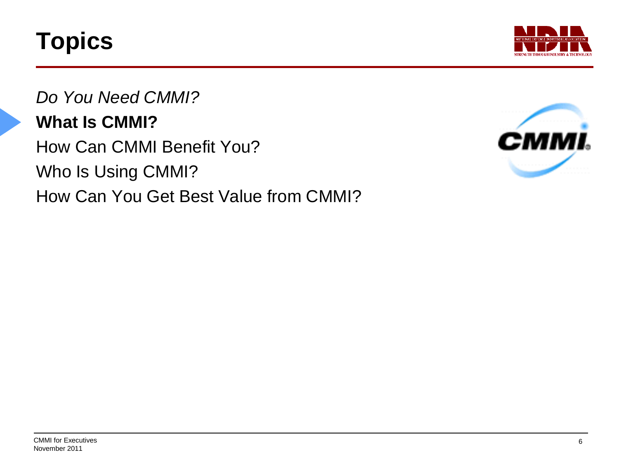

*Do You Need CMMI?* **What Is CMMI?** How Can CMMI Benefit You? Who Is Using CMMI? How Can You Get Best Value from CMMI?

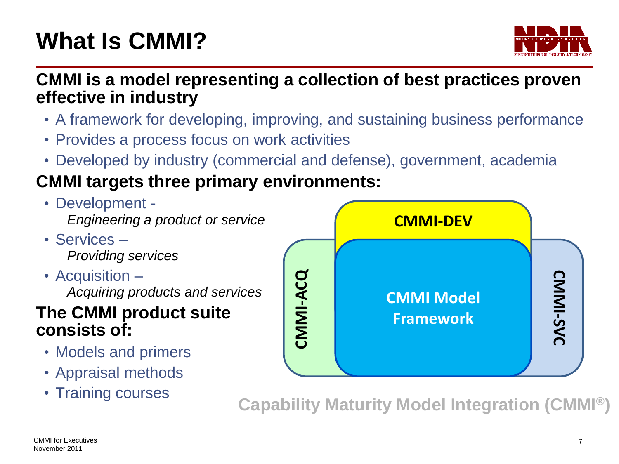# **What Is CMMI?**



**CMMI is a model representing a collection of best practices proven effective in industry**

- A framework for developing, improving, and sustaining business performance
- Provides a process focus on work activities
- Developed by industry (commercial and defense), government, academia

# **CMMI targets three primary environments:**

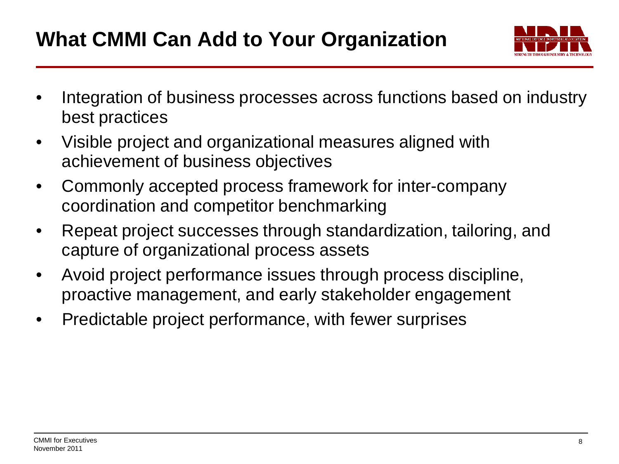# **What CMMI Can Add to Your Organization**



- Integration of business processes across functions based on industry best practices
- Visible project and organizational measures aligned with achievement of business objectives
- Commonly accepted process framework for inter-company coordination and competitor benchmarking
- Repeat project successes through standardization, tailoring, and capture of organizational process assets
- Avoid project performance issues through process discipline, proactive management, and early stakeholder engagement
- Predictable project performance, with fewer surprises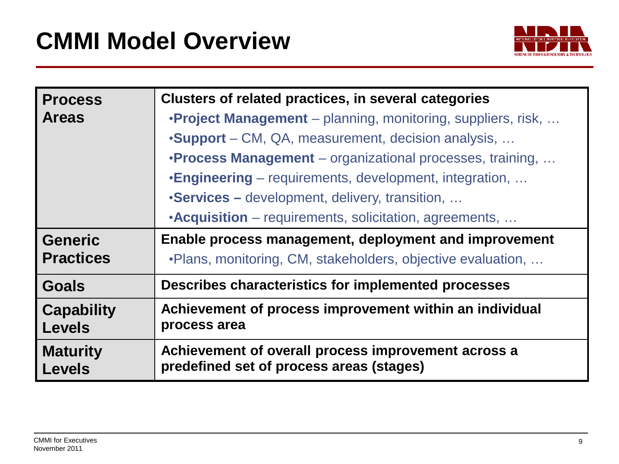

| <b>Process</b>                     | Clusters of related practices, in several categories                                            |  |  |  |  |  |
|------------------------------------|-------------------------------------------------------------------------------------------------|--|--|--|--|--|
| <b>Areas</b>                       | <b>•Project Management</b> – planning, monitoring, suppliers, risk,                             |  |  |  |  |  |
|                                    | •Support – CM, QA, measurement, decision analysis,                                              |  |  |  |  |  |
|                                    | <b>•Process Management</b> – organizational processes, training,                                |  |  |  |  |  |
|                                    | <b>•Engineering</b> – requirements, development, integration,                                   |  |  |  |  |  |
|                                    | •Services – development, delivery, transition,                                                  |  |  |  |  |  |
|                                    | •Acquisition – requirements, solicitation, agreements,                                          |  |  |  |  |  |
| <b>Generic</b>                     | Enable process management, deployment and improvement                                           |  |  |  |  |  |
| <b>Practices</b>                   | . Plans, monitoring, CM, stakeholders, objective evaluation,                                    |  |  |  |  |  |
| <b>Goals</b>                       | Describes characteristics for implemented processes                                             |  |  |  |  |  |
| <b>Capability</b><br><b>Levels</b> | Achievement of process improvement within an individual<br>process area                         |  |  |  |  |  |
| <b>Maturity</b><br><b>Levels</b>   | Achievement of overall process improvement across a<br>predefined set of process areas (stages) |  |  |  |  |  |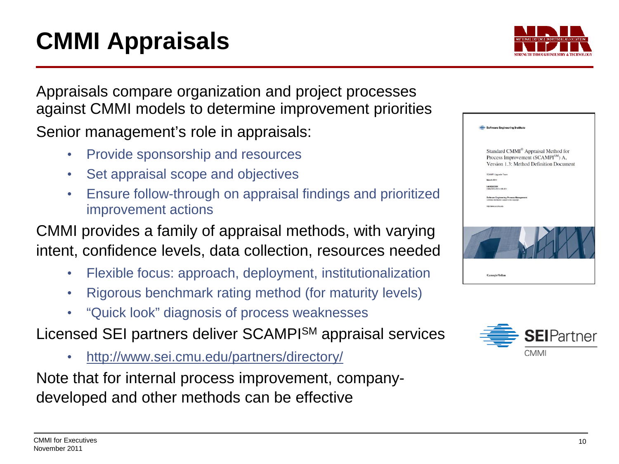# **CMMI Appraisals**

Appraisals compare organization and project processes against CMMI models to determine improvement priorities Senior management's role in appraisals:

- Provide sponsorship and resources
- Set appraisal scope and objectives
- Ensure follow-through on appraisal findings and prioritized improvement actions

CMMI provides a family of appraisal methods, with varying intent, confidence levels, data collection, resources needed

- Flexible focus: approach, deployment, institutionalization
- Rigorous benchmark rating method (for maturity levels)
- "Quick look" diagnosis of process weaknesses

Licensed SEI partners deliver SCAMPISM appraisal services

• <http://www.sei.cmu.edu/partners/directory/>

Note that for internal process improvement, companydeveloped and other methods can be effective

| <b>Software Engineering Institute</b>                                                                                            |
|----------------------------------------------------------------------------------------------------------------------------------|
| Standard CMMI® Appraisal Method for<br>Process Improvement (SCAMPI <sup>SM</sup> ) A,<br>Version 1.3: Method Definition Document |
| SCAMPI Upgrade Team<br><b>March 2011</b>                                                                                         |
| <b>HANDROOK</b><br>CMUSE1-2011-HB-001                                                                                            |
| Software Engineering Process Management<br>Unimated distribution support to the copyright.<br>http://www.sei.cmu.edu             |
|                                                                                                                                  |
|                                                                                                                                  |
| <b>CarnegieMellon</b>                                                                                                            |



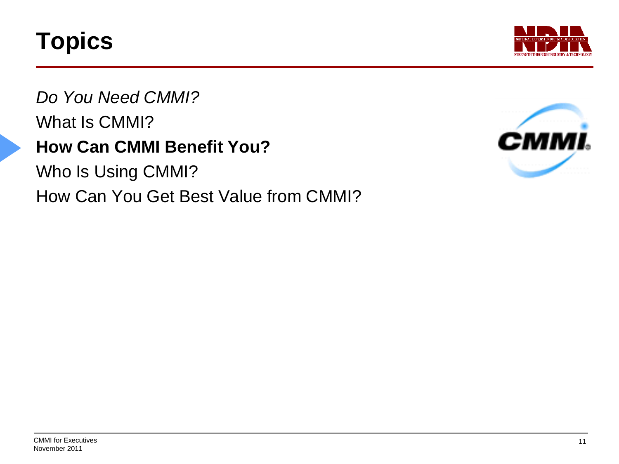

*Do You Need CMMI?* What Is CMMI? **How Can CMMI Benefit You?**

Who Is Using CMMI? How Can You Get Best Value from CMMI?

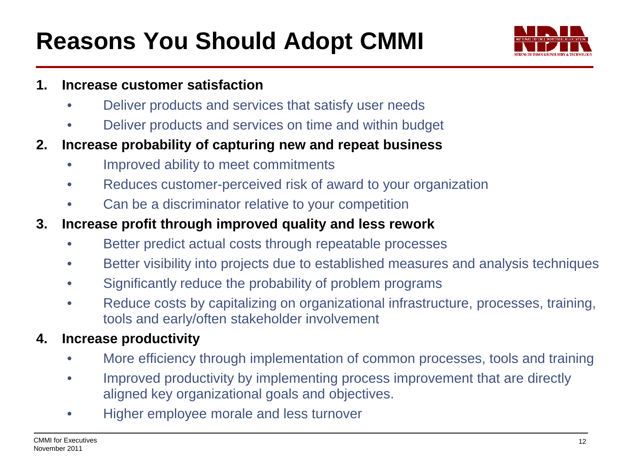# **Reasons You Should Adopt CMMI**



#### **1. Increase customer satisfaction**

- Deliver products and services that satisfy user needs
- Deliver products and services on time and within budget
- **2. Increase probability of capturing new and repeat business**
	- Improved ability to meet commitments
	- Reduces customer-perceived risk of award to your organization
	- Can be a discriminator relative to your competition
- **3. Increase profit through improved quality and less rework**
	- Better predict actual costs through repeatable processes
	- Better visibility into projects due to established measures and analysis techniques
	- Significantly reduce the probability of problem programs
	- Reduce costs by capitalizing on organizational infrastructure, processes, training, tools and early/often stakeholder involvement

#### **4. Increase productivity**

- More efficiency through implementation of common processes, tools and training
- Improved productivity by implementing process improvement that are directly aligned key organizational goals and objectives.
- Higher employee morale and less turnover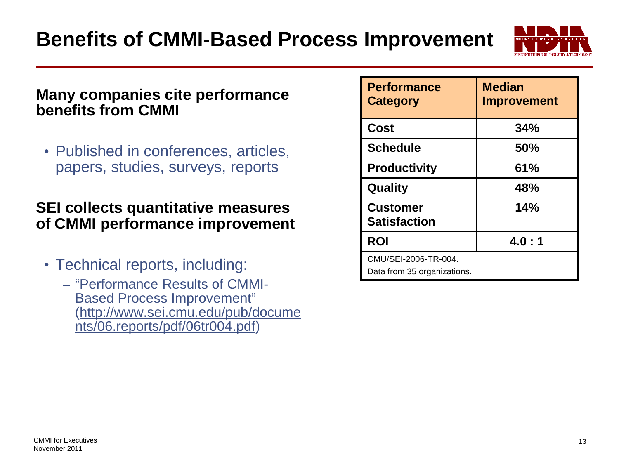

#### **Many companies cite performance benefits from CMMI**

• Published in conferences, articles, papers, studies, surveys, reports

#### **SEI collects quantitative measures of CMMI performance improvement**

- Technical reports, including:
	- "Performance Results of CMMI-Based Process Improvement" ([http://www.sei.cmu.edu/pub/docume](http://www.sei.cmu.edu/pub/documents/06.reports/pdf/06tr004.pdf) [nts/06.reports/pdf/06tr004.pdf](http://www.sei.cmu.edu/pub/documents/06.reports/pdf/06tr004.pdf))

| <b>Performance</b><br><b>Category</b>               | <b>Median</b><br><b>Improvement</b> |  |  |
|-----------------------------------------------------|-------------------------------------|--|--|
| Cost                                                | 34%                                 |  |  |
| <b>Schedule</b>                                     | 50%                                 |  |  |
| <b>Productivity</b>                                 | 61%                                 |  |  |
| Quality                                             | 48%                                 |  |  |
| <b>Customer</b><br><b>Satisfaction</b>              | 14%                                 |  |  |
| <b>ROI</b>                                          | 4.0:1                               |  |  |
| CMU/SEI-2006-TR-004.<br>Data from 35 organizations. |                                     |  |  |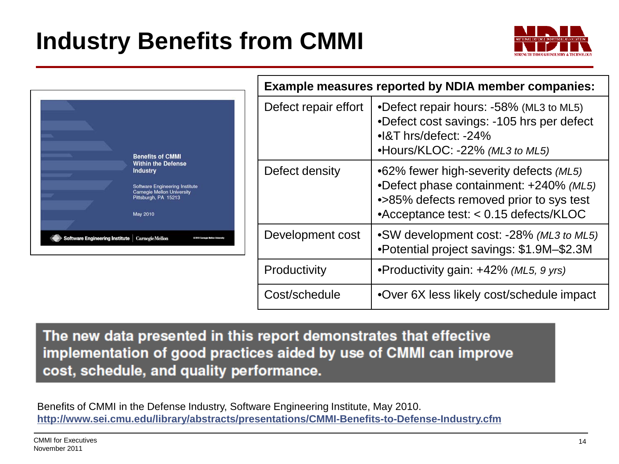# **Industry Benefits from CMMI**





| <b>Example measures reported by NDIA member companies:</b> |                                                                                                                                                                                 |  |  |  |  |
|------------------------------------------------------------|---------------------------------------------------------------------------------------------------------------------------------------------------------------------------------|--|--|--|--|
| Defect repair effort                                       | •Defect repair hours: -58% (ML3 to ML5)<br>•Defect cost savings: -105 hrs per defect<br>$\bullet$ 8T hrs/defect: -24%<br>•Hours/KLOC: -22% (ML3 to ML5)                         |  |  |  |  |
| Defect density                                             | •62% fewer high-severity defects (ML5)<br>•Defect phase containment: +240% (ML5)<br>•>85% defects removed prior to sys test<br>$\triangle$ Acceptance test: < 0.15 defects/KLOC |  |  |  |  |
| Development cost                                           | •SW development cost: -28% (ML3 to ML5)<br>•Potential project savings: \$1.9M-\$2.3M                                                                                            |  |  |  |  |
| Productivity                                               | •Productivity gain: +42% (ML5, 9 yrs)                                                                                                                                           |  |  |  |  |
| Cost/schedule                                              | •Over 6X less likely cost/schedule impact                                                                                                                                       |  |  |  |  |

**CMMI Executive Briefing**

The new data presented in this report demonstrates that effective implementation of good practices aided by use of CMMI can improve cost, schedule, and quality performance.

Benefits of CMMI in the Defense Industry, Software Engineering Institute, May 2010[.](http://www.sei.cmu.edu/library/abstracts/presentations/CMMI-Benefits-to-Defense-Industry.cfm) **<http://www.sei.cmu.edu/library/abstracts/presentations/CMMI-Benefits-to-Defense-Industry.cfm>**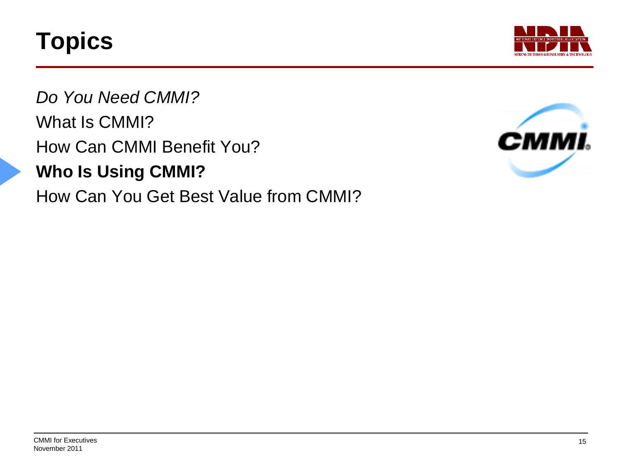

*Do You Need CMMI?* What Is CMMI? How Can CMMI Benefit You? **Who Is Using CMMI?** How Can You Get Best Value from CMMI?

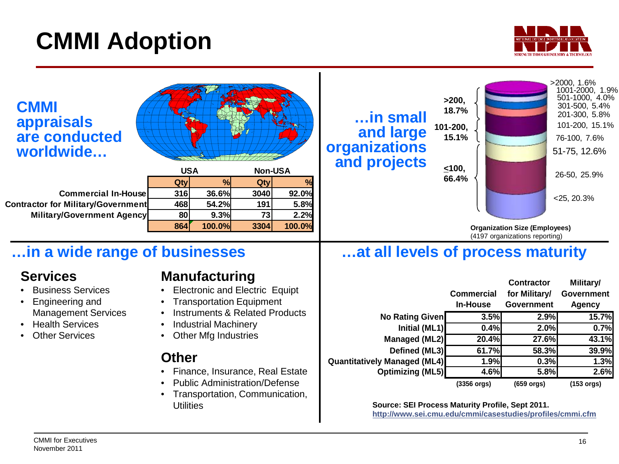# **CMMI Adoption**



| <b>CMMI</b><br><b>appraisals</b><br>are conducted<br>worldwide                                               | <b>USA</b>                                                                                                                    | <b>Non-USA</b>                   |                                      | $$ in small<br>and large<br>organizations<br>and projects | >200,<br>18.7%<br>101-200,<br>15.1%<br>$\leq 100,$                                                                                              |                                                                        | $>2000, 1.6\%$<br>1001-2000, 1.9%<br>501-1000, 4.0%<br>301-500, 5.4%<br>201-300, 5.8%<br>101-200, 15.1%<br>76-100, 7.6%<br>51-75, 12.6% |
|--------------------------------------------------------------------------------------------------------------|-------------------------------------------------------------------------------------------------------------------------------|----------------------------------|--------------------------------------|-----------------------------------------------------------|-------------------------------------------------------------------------------------------------------------------------------------------------|------------------------------------------------------------------------|-----------------------------------------------------------------------------------------------------------------------------------------|
| <b>Commercial In-House</b><br><b>Contractor for Military/Government</b><br><b>Military/Government Agency</b> | %<br>Qty<br>36.6%<br>316<br>468<br>54.2%<br>80<br>9.3%<br>864<br>100.0%                                                       | Qty<br>3040<br>191<br>73<br>3304 | %<br>92.0%<br>5.8%<br>2.2%<br>100.0% |                                                           | 66.4%                                                                                                                                           |                                                                        | 26-50, 25.9%<br>$<$ 25, 20.3%                                                                                                           |
|                                                                                                              |                                                                                                                               |                                  |                                      |                                                           |                                                                                                                                                 | <b>Organization Size (Employees)</b><br>(4197 organizations reporting) |                                                                                                                                         |
| in a wide range of businesses                                                                                |                                                                                                                               |                                  |                                      | at all levels of process maturity                         |                                                                                                                                                 |                                                                        |                                                                                                                                         |
| <b>Services</b><br><b>Business Services</b><br>Engineering and                                               | <b>Manufacturing</b><br><b>Electronic and Electric Equipt</b><br><b>Transportation Equipment</b>                              |                                  |                                      |                                                           | <b>Commercial</b><br><b>In-House</b>                                                                                                            | <b>Contractor</b><br>for Military/<br>Government                       | Military/<br><b>Government</b><br><b>Agency</b>                                                                                         |
| <b>Management Services</b>                                                                                   | <b>Instruments &amp; Related Products</b>                                                                                     |                                  |                                      | No Rating Given                                           | 3.5%                                                                                                                                            | 2.9%                                                                   | 15.7%                                                                                                                                   |
| <b>Health Services</b>                                                                                       | <b>Industrial Machinery</b>                                                                                                   |                                  |                                      | Initial (ML1)                                             | 0.4%                                                                                                                                            | 2.0%                                                                   | 0.7%                                                                                                                                    |
| <b>Other Services</b>                                                                                        | <b>Other Mfg Industries</b>                                                                                                   |                                  |                                      | <b>Managed (ML2)</b>                                      | 20.4%                                                                                                                                           | 27.6%                                                                  | 43.1%                                                                                                                                   |
|                                                                                                              | <b>Other</b>                                                                                                                  |                                  |                                      | Defined (ML3)                                             | 61.7%                                                                                                                                           | 58.3%                                                                  | 39.9%                                                                                                                                   |
|                                                                                                              |                                                                                                                               |                                  |                                      | <b>Quantitatively Managed (ML4)</b>                       | 1.9%                                                                                                                                            | 0.3%                                                                   | 1.3%                                                                                                                                    |
|                                                                                                              | Finance, Insurance, Real Estate<br><b>Public Administration/Defense</b><br>Transportation, Communication,<br><b>Utilities</b> |                                  |                                      | <b>Optimizing (ML5)</b>                                   | 4.6%<br>$(3356 \text{ or } g)$<br>Source: SEI Process Maturity Profile, Sept 2011.<br>http://www.sei.cmu.edu/cmmi/casestudies/profiles/cmmi.cfm | 5.8%<br>(659 orgs)                                                     | 2.6%<br>$(153 \text{ or }g)$                                                                                                            |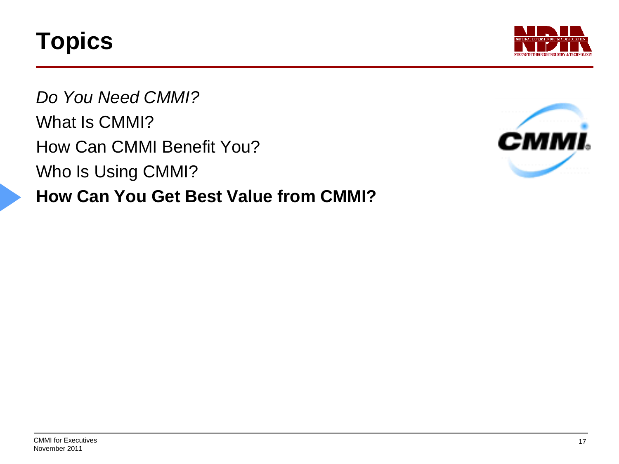

*Do You Need CMMI?* What Is CMMI? How Can CMMI Benefit You? Who Is Using CMMI? **How Can You Get Best Value from CMMI?**

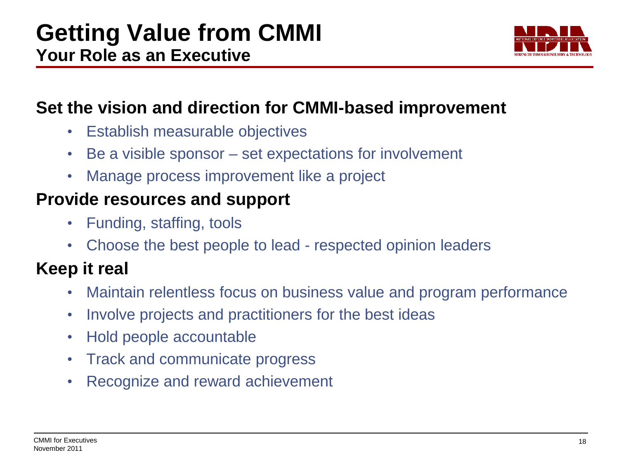

### **Set the vision and direction for CMMI-based improvement**

- Establish measurable objectives
- Be a visible sponsor set expectations for involvement
- Manage process improvement like a project

### **Provide resources and support**

- Funding, staffing, tools
- Choose the best people to lead respected opinion leaders

# **Keep it real**

- Maintain relentless focus on business value and program performance
- Involve projects and practitioners for the best ideas
- Hold people accountable
- Track and communicate progress
- Recognize and reward achievement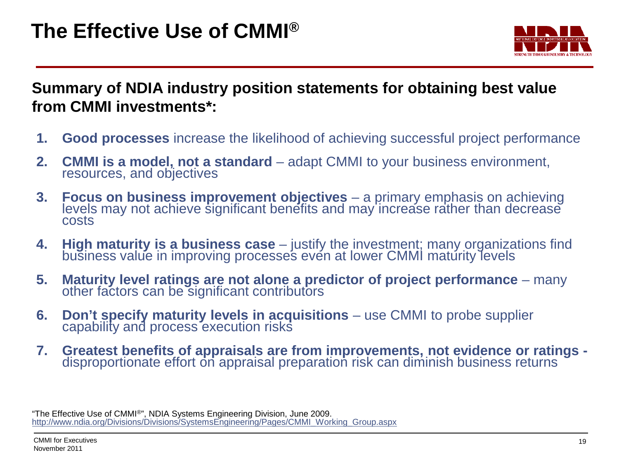

**Summary of NDIA industry position statements for obtaining best value from CMMI investments\*:**

- **1. Good processes** increase the likelihood of achieving successful project performance
- **2. CMMI is a model, not a standard** adapt CMMI to your business environment, resources, and objectives
- **3. Focus on business improvement objectives** a primary emphasis on achieving levels may not achieve significant benefits and may increase rather than decrease costs
- **4. High maturity is a business case** justify the investment; many organizations find business value in improving processes even at lower CMMI maturity levels
- **5. Maturity level ratings are not alone a predictor of project performance** many other factors can be significant contributors
- **6. Don't specify maturity levels in acquisitions** use CMMI to probe supplier capability and process execution risks
- **7. Greatest benefits of appraisals are from improvements, not evidence or ratings -** disproportionate effort on appraisal preparation risk can diminish business returns

"The Effective Use of CMMI®", NDIA Systems Engineering Division, June 2009. [http://www.ndia.org/Divisions/Divisions/SystemsEngineering/Pages/CMMI\\_Working\\_Group.aspx](http://www.ndia.org/Divisions/Divisions/SystemsEngineering/Pages/CMMI_Working_Group.aspx)